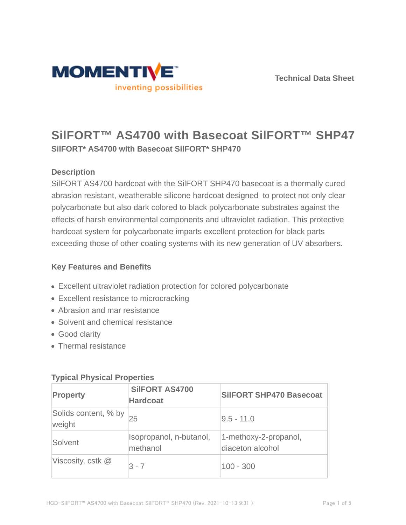



# **SilFORT™ AS4700 with Basecoat SilFORT™ SHP470 SilFORT\* AS4700 with Basecoat SilFORT\* SHP470**

### **Description**

SilFORT AS4700 hardcoat with the SilFORT SHP470 basecoat is a thermally cured abrasion resistant, weatherable silicone hardcoat designed to protect not only clear polycarbonate but also dark colored to black polycarbonate substrates against the effects of harsh environmental components and ultraviolet radiation. This protective hardcoat system for polycarbonate imparts excellent protection for black parts exceeding those of other coating systems with its new generation of UV absorbers.

### **Key Features and Benefits**

- Excellent ultraviolet radiation protection for colored polycarbonate
- Excellent resistance to microcracking
- Abrasion and mar resistance
- Solvent and chemical resistance
- Good clarity
- Thermal resistance

| <b>Property</b>                | <b>SilFORT AS4700</b><br><b>Hardcoat</b> | <b>SilFORT SHP470 Basecoat</b>            |  |  |  |
|--------------------------------|------------------------------------------|-------------------------------------------|--|--|--|
| Solids content, % by<br>weight | 25                                       | $9.5 - 11.0$                              |  |  |  |
| Solvent                        | Isopropanol, n-butanol,<br>methanol      | 1-methoxy-2-propanol,<br>diaceton alcohol |  |  |  |
| Viscosity, cstk $@$            | $3 - 7$                                  | $100 - 300$                               |  |  |  |

### **Typical Physical Properties**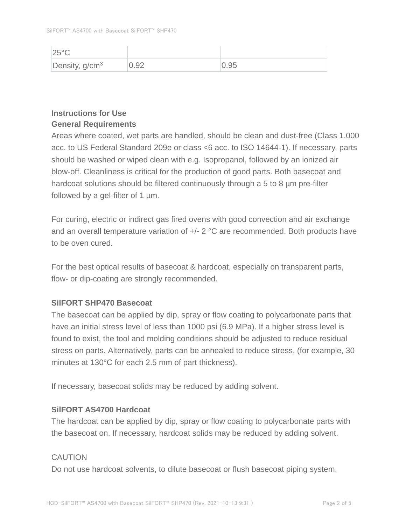| $ 25^{\circ}$ C  |      |      |
|------------------|------|------|
| Density, $g/cm3$ | 0.92 | 0.95 |

### **Instructions for Use General Requirements**

Areas where coated, wet parts are handled, should be clean and dust-free (Class 1,000 acc. to US Federal Standard 209e or class <6 acc. to ISO 14644-1). If necessary, parts should be washed or wiped clean with e.g. Isopropanol, followed by an ionized air blow-off. Cleanliness is critical for the production of good parts. Both basecoat and hardcoat solutions should be filtered continuously through a 5 to 8 µm pre-filter followed by a gel-filter of 1 µm.

For curing, electric or indirect gas fired ovens with good convection and air exchange and an overall temperature variation of +/- 2 °C are recommended. Both products have to be oven cured.

For the best optical results of basecoat & hardcoat, especially on transparent parts, flow- or dip-coating are strongly recommended.

### **SilFORT SHP470 Basecoat**

The basecoat can be applied by dip, spray or flow coating to polycarbonate parts that have an initial stress level of less than 1000 psi (6.9 MPa). If a higher stress level is found to exist, the tool and molding conditions should be adjusted to reduce residual stress on parts. Alternatively, parts can be annealed to reduce stress, (for example, 30 minutes at 130°C for each 2.5 mm of part thickness).

If necessary, basecoat solids may be reduced by adding solvent.

### **SilFORT AS4700 Hardcoat**

The hardcoat can be applied by dip, spray or flow coating to polycarbonate parts with the basecoat on. If necessary, hardcoat solids may be reduced by adding solvent.

### **CAUTION**

Do not use hardcoat solvents, to dilute basecoat or flush basecoat piping system.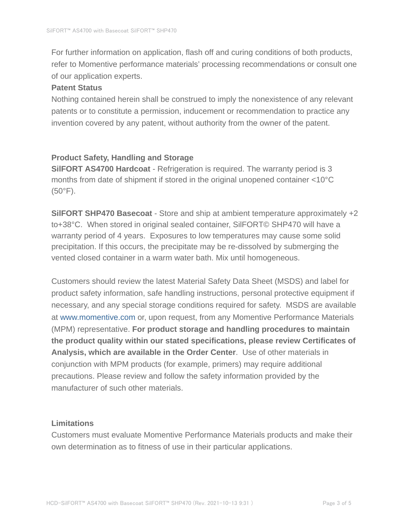For further information on application, flash off and curing conditions of both products, refer to Momentive performance materials' processing recommendations or consult one of our application experts.

#### **Patent Status**

Nothing contained herein shall be construed to imply the nonexistence of any relevant patents or to constitute a permission, inducement or recommendation to practice any invention covered by any patent, without authority from the owner of the patent.

#### **Product Safety, Handling and Storage**

**SilFORT AS4700 Hardcoat** - Refrigeration is required. The warranty period is 3 months from date of shipment if stored in the original unopened container <10°C (50°F).

**SilFORT SHP470 Basecoat** - Store and ship at ambient temperature approximately +2 to+38°C. When stored in original sealed container, SilFORT© SHP470 will have a warranty period of 4 years. Exposures to low temperatures may cause some solid precipitation. If this occurs, the precipitate may be re-dissolved by submerging the vented closed container in a warm water bath. Mix until homogeneous.

Customers should review the latest Material Safety Data Sheet (MSDS) and label for product safety information, safe handling instructions, personal protective equipment if necessary, and any special storage conditions required for safety. MSDS are available at www.momentive.com or, upon request, from any Momentive Performance Materials (MPM) representative. **For product storage and handling procedures to maintain the product quality within our stated specifications, please review Certificates of Analysis, which are available in the Order Center**. Use of other materials in conjunction with MPM products (for example, primers) may require additional precautions. Please review and follow the safety information provided by the manufacturer of such other materials.

#### **Limitations**

Customers must evaluate Momentive Performance Materials products and make their own determination as to fitness of use in their particular applications.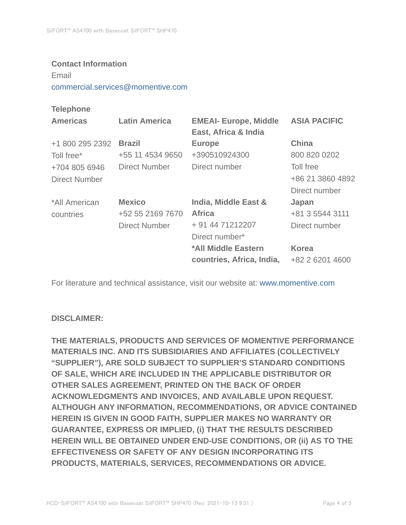#### **Contact Information**

Email

commercial.services@momentive.com

#### **Telephone**

| <b>Americas</b> | <b>Latin America</b> | <b>EMEAI- Europe, Middle</b><br>East, Africa & India | <b>ASIA PACIFIC</b> |
|-----------------|----------------------|------------------------------------------------------|---------------------|
| +1 800 295 2392 | <b>Brazil</b>        | <b>Europe</b>                                        | <b>China</b>        |
| Toll free*      | +55 11 4534 9650     | +390510924300                                        | 800 820 0202        |
| +704 805 6946   | Direct Number        | Direct number                                        | Toll free           |
| Direct Number   |                      |                                                      | +86 21 3860 4892    |
|                 |                      |                                                      | Direct number       |
| *All American   | <b>Mexico</b>        | India, Middle East &                                 | Japan               |
| countries       | +52 55 2169 7670     | <b>Africa</b>                                        | +81 3 5544 3111     |
|                 | <b>Direct Number</b> | + 91 44 71212207                                     | Direct number       |
|                 |                      | Direct number*                                       |                     |
|                 |                      | *All Middle Eastern                                  | <b>Korea</b>        |
|                 |                      | countries, Africa, India,                            | +82 2 6201 4600     |

For literature and technical assistance, visit our website at: www.momentive.com

#### **DISCLAIMER:**

**THE MATERIALS, PRODUCTS AND SERVICES OF MOMENTIVE PERFORMANCE MATERIALS INC. AND ITS SUBSIDIARIES AND AFFILIATES (COLLECTIVELY "SUPPLIER"), ARE SOLD SUBJECT TO SUPPLIER'S STANDARD CONDITIONS OF SALE, WHICH ARE INCLUDED IN THE APPLICABLE DISTRIBUTOR OR OTHER SALES AGREEMENT, PRINTED ON THE BACK OF ORDER ACKNOWLEDGMENTS AND INVOICES, AND AVAILABLE UPON REQUEST. ALTHOUGH ANY INFORMATION, RECOMMENDATIONS, OR ADVICE CONTAINED HEREIN IS GIVEN IN GOOD FAITH, SUPPLIER MAKES NO WARRANTY OR GUARANTEE, EXPRESS OR IMPLIED, (i) THAT THE RESULTS DESCRIBED HEREIN WILL BE OBTAINED UNDER END-USE CONDITIONS, OR (ii) AS TO THE EFFECTIVENESS OR SAFETY OF ANY DESIGN INCORPORATING ITS PRODUCTS, MATERIALS, SERVICES, RECOMMENDATIONS OR ADVICE.**